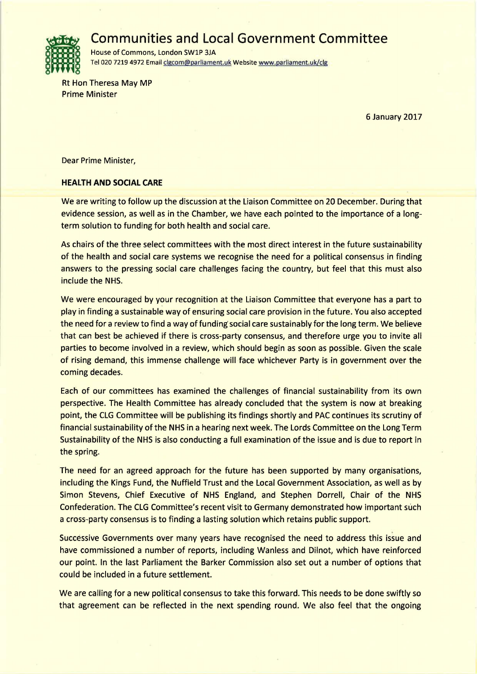**Communities and Local Government Committee** 



House of Commons, London SWlP 3JA Tel 020 7219 4972 Email clgcom@parliament.uk Website www.parliament.uk/clg

Rt Hon Theresa May MP Prime Minister

6 January 2017

Dear Prime Minister,

## **HEALTH AND SOCIAL CARE**

We are writing to follow up the discussion at the Liaison Committee on 20 December. During that evidence session, as well as in the Chamber, we have each pointed to the importance of a longterm solution to funding for both health and social care.

As chairs of the three select committees with the most direct interest in the future sustainability of the health and social care systems we recognise the need for a political consensus in finding answers to the pressing social care challenges facing the country, but feel that this must also include the NHS.

We were encouraged by your recognition at the Liaison Committee that everyone has a part to play in finding a sustainable way of ensuring social care provision in the future. You also accepted the need for a review to find a way of funding social care sustainably for the long term. We believe that can best be achieved if there is cross-party consensus, and therefore urge you to invite all parties to become involved in a review, which should begin as soon as possible. Given the scale of rising demand, this immense challenge will face whichever Party is in government over the coming decades.

Each of our committees has examined the challenges of financial sustainability from its own perspective. The Health Committee has already concluded that the system is now at breaking point, the CLG Committee will be publishing its findings shortly and PAC continues its scrutiny of financial sustainability of the NHS in a hearing next week. The Lords Committee on the Long Term Sustainability of the NHS is also conducting a full examination of the issue and is due to report in the spring.

The need for an agreed approach for the future has been supported by many organisations, including the Kings Fund, the Nuffield Trust and the Local Government Association, as well as by Simon Stevens, Chief Executive of NHS England, and Stephen Dorrell, Chair of the NHS Confederation. The CLG Committee's recent visit to Germany demonstrated how important such a cross-party consensus is to finding a lasting solution which retains public support.

Successive Governments over many years have recognised the need to address this issue and have commissioned a number of reports, including Wanless and Dilnot, which have reinforced our point. In the last Parliament the Barker Commission also set out a number of options that could be included in a future settlement.

We are calling for a new political consensus to take this forward. This needs to be done swiftly so that agreement can be reflected in the next spending round. We also feel that the ongoing